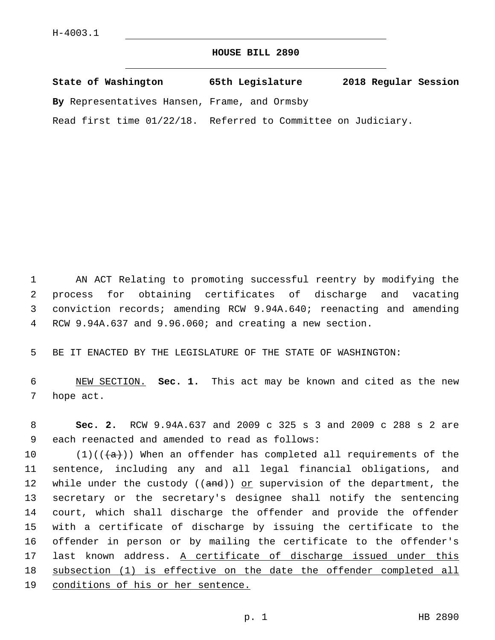## **HOUSE BILL 2890**

| State of Washington                          | 65th Legislature                    | 2018 Regular Session |
|----------------------------------------------|-------------------------------------|----------------------|
| By Representatives Hansen, Frame, and Ormsby |                                     |                      |
| Read first time $01/22/18$ .                 | Referred to Committee on Judiciary. |                      |

 AN ACT Relating to promoting successful reentry by modifying the process for obtaining certificates of discharge and vacating conviction records; amending RCW 9.94A.640; reenacting and amending RCW 9.94A.637 and 9.96.060; and creating a new section.

BE IT ENACTED BY THE LEGISLATURE OF THE STATE OF WASHINGTON:

 NEW SECTION. **Sec. 1.** This act may be known and cited as the new hope act.

 **Sec. 2.** RCW 9.94A.637 and 2009 c 325 s 3 and 2009 c 288 s 2 are 9 each reenacted and amended to read as follows:

 $(1)((\{a\}))$  When an offender has completed all requirements of the sentence, including any and all legal financial obligations, and 12 while under the custody ((and)) or supervision of the department, the secretary or the secretary's designee shall notify the sentencing court, which shall discharge the offender and provide the offender with a certificate of discharge by issuing the certificate to the offender in person or by mailing the certificate to the offender's last known address. A certificate of discharge issued under this subsection (1) is effective on the date the offender completed all conditions of his or her sentence.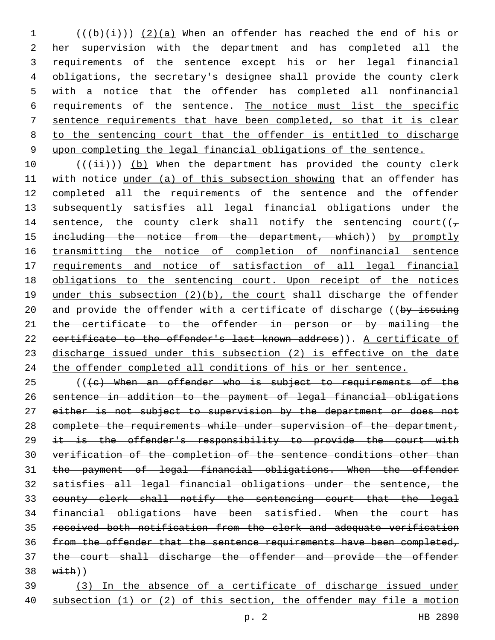$((\frac{1}{b}(\frac{1}{i}))$  (2)(a) When an offender has reached the end of his or her supervision with the department and has completed all the requirements of the sentence except his or her legal financial obligations, the secretary's designee shall provide the county clerk with a notice that the offender has completed all nonfinancial requirements of the sentence. The notice must list the specific sentence requirements that have been completed, so that it is clear to the sentencing court that the offender is entitled to discharge upon completing the legal financial obligations of the sentence.

 $((\overrightarrow{\pm}i))$  (b) When the department has provided the county clerk with notice under (a) of this subsection showing that an offender has completed all the requirements of the sentence and the offender subsequently satisfies all legal financial obligations under the 14 sentence, the county clerk shall notify the sentencing court( $(\tau)$ 15 including the notice from the department, which)) by promptly 16 transmitting the notice of completion of nonfinancial sentence requirements and notice of satisfaction of all legal financial obligations to the sentencing court. Upon receipt of the notices 19 under this subsection (2)(b), the court shall discharge the offender 20 and provide the offender with a certificate of discharge ((by issuing 21 the certificate to the offender in person or by mailing the 22 certificate to the offender's last known address)). A certificate of discharge issued under this subsection (2) is effective on the date the offender completed all conditions of his or her sentence.

 (( $\left(e\right)$  When an offender who is subject to requirements of the sentence in addition to the payment of legal financial obligations 27 either is not subject to supervision by the department or does not complete the requirements while under supervision of the department, 29 it is the offender's responsibility to provide the court with verification of the completion of the sentence conditions other than the payment of legal financial obligations. When the offender satisfies all legal financial obligations under the sentence, the county clerk shall notify the sentencing court that the legal financial obligations have been satisfied. When the court has received both notification from the clerk and adequate verification from the offender that the sentence requirements have been completed, the court shall discharge the offender and provide the offender  $38 \quad \text{with}$ )

 (3) In the absence of a certificate of discharge issued under subsection (1) or (2) of this section, the offender may file a motion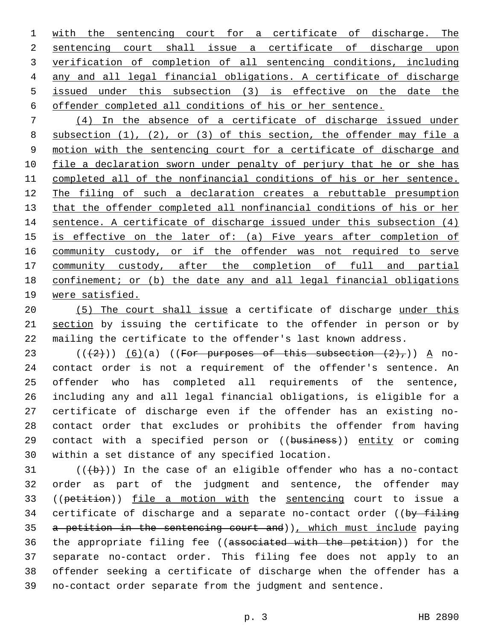1 with the sentencing court for a certificate of discharge. The sentencing court shall issue a certificate of discharge upon verification of completion of all sentencing conditions, including any and all legal financial obligations. A certificate of discharge issued under this subsection (3) is effective on the date the offender completed all conditions of his or her sentence.

 (4) In the absence of a certificate of discharge issued under subsection (1), (2), or (3) of this section, the offender may file a motion with the sentencing court for a certificate of discharge and file a declaration sworn under penalty of perjury that he or she has completed all of the nonfinancial conditions of his or her sentence. The filing of such a declaration creates a rebuttable presumption that the offender completed all nonfinancial conditions of his or her sentence. A certificate of discharge issued under this subsection (4) is effective on the later of: (a) Five years after completion of 16 community custody, or if the offender was not required to serve 17 community custody, after the completion of full and partial confinement; or (b) the date any and all legal financial obligations were satisfied.

 (5) The court shall issue a certificate of discharge under this 21 section by issuing the certificate to the offender in person or by mailing the certificate to the offender's last known address.

 $((+2)^{n})$  (6)(a) ((For purposes of this subsection  $(2)^{n}$ )) A no- contact order is not a requirement of the offender's sentence. An offender who has completed all requirements of the sentence, including any and all legal financial obligations, is eligible for a certificate of discharge even if the offender has an existing no- contact order that excludes or prohibits the offender from having 29 contact with a specified person or ((business)) entity or coming 30 within a set distance of any specified location.

 (( $\left(\frac{b}{b}\right)$ ) In the case of an eligible offender who has a no-contact order as part of the judgment and sentence, the offender may 33 ((petition)) file a motion with the sentencing court to issue a 34 certificate of discharge and a separate no-contact order ((by filing 35 a petition in the sentencing court and)), which must include paying 36 the appropriate filing fee ((associated with the petition)) for the separate no-contact order. This filing fee does not apply to an offender seeking a certificate of discharge when the offender has a no-contact order separate from the judgment and sentence.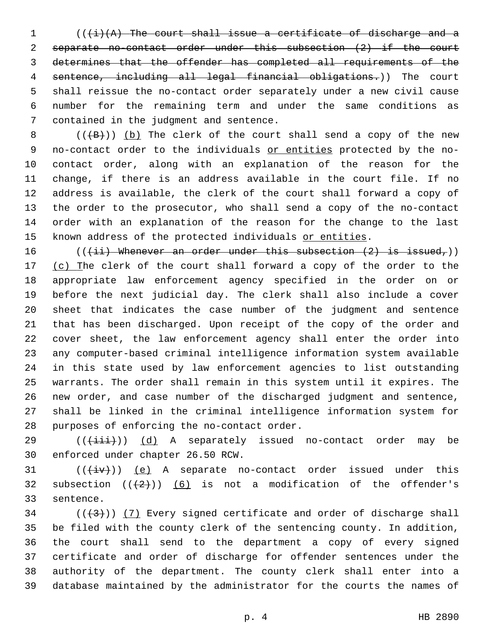$((\dagger i)(A)$  The court shall issue a certificate of discharge and a separate no-contact order under this subsection (2) if the court determines that the offender has completed all requirements of the sentence, including all legal financial obligations.)) The court shall reissue the no-contact order separately under a new civil cause number for the remaining term and under the same conditions as 7 contained in the judgment and sentence.

 $((+B))$  (b) The clerk of the court shall send a copy of the new 9 no-contact order to the individuals or entities protected by the no- contact order, along with an explanation of the reason for the change, if there is an address available in the court file. If no address is available, the clerk of the court shall forward a copy of the order to the prosecutor, who shall send a copy of the no-contact order with an explanation of the reason for the change to the last 15 known address of the protected individuals or entities.

 $((\{\pm i\})$  Whenever an order under this subsection  $(2)$  is issued,)) 17 (c) The clerk of the court shall forward a copy of the order to the appropriate law enforcement agency specified in the order on or before the next judicial day. The clerk shall also include a cover sheet that indicates the case number of the judgment and sentence that has been discharged. Upon receipt of the copy of the order and cover sheet, the law enforcement agency shall enter the order into any computer-based criminal intelligence information system available in this state used by law enforcement agencies to list outstanding warrants. The order shall remain in this system until it expires. The new order, and case number of the discharged judgment and sentence, shall be linked in the criminal intelligence information system for 28 purposes of enforcing the no-contact order.

29 (( $(i+1i)$ ) (d) A separately issued no-contact order may be 30 enforced under chapter 26.50 RCW.

 $((\overline{+iv}))(e)$  A separate no-contact order issued under this 32 subsection  $((+2)^{n})$  (6) is not a modification of the offender's 33 sentence.

 ( $(\frac{43}{})$ ) (7) Every signed certificate and order of discharge shall be filed with the county clerk of the sentencing county. In addition, the court shall send to the department a copy of every signed certificate and order of discharge for offender sentences under the authority of the department. The county clerk shall enter into a database maintained by the administrator for the courts the names of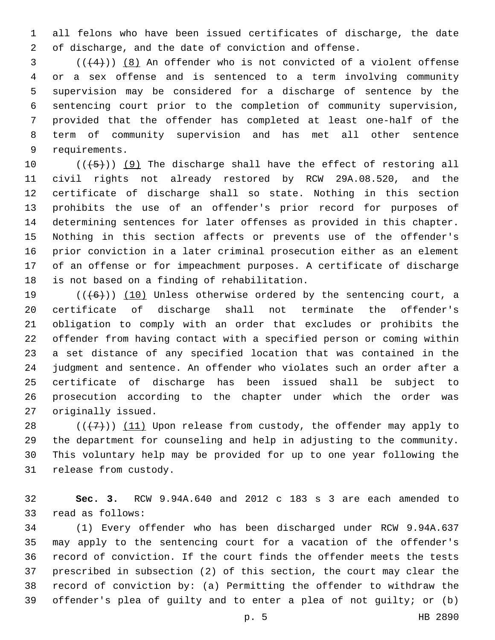all felons who have been issued certificates of discharge, the date of discharge, and the date of conviction and offense.

 ( $(4)$ ))  $(8)$  An offender who is not convicted of a violent offense or a sex offense and is sentenced to a term involving community supervision may be considered for a discharge of sentence by the sentencing court prior to the completion of community supervision, provided that the offender has completed at least one-half of the term of community supervision and has met all other sentence 9 requirements.

 $((+5+))$  (9) The discharge shall have the effect of restoring all civil rights not already restored by RCW 29A.08.520, and the certificate of discharge shall so state. Nothing in this section prohibits the use of an offender's prior record for purposes of determining sentences for later offenses as provided in this chapter. Nothing in this section affects or prevents use of the offender's prior conviction in a later criminal prosecution either as an element of an offense or for impeachment purposes. A certificate of discharge 18 is not based on a finding of rehabilitation.

 $((+6))$  (10) Unless otherwise ordered by the sentencing court, a certificate of discharge shall not terminate the offender's obligation to comply with an order that excludes or prohibits the offender from having contact with a specified person or coming within a set distance of any specified location that was contained in the judgment and sentence. An offender who violates such an order after a certificate of discharge has been issued shall be subject to prosecution according to the chapter under which the order was 27 originally issued.

 $((+7+))$  (11) Upon release from custody, the offender may apply to the department for counseling and help in adjusting to the community. This voluntary help may be provided for up to one year following the 31 release from custody.

 **Sec. 3.** RCW 9.94A.640 and 2012 c 183 s 3 are each amended to 33 read as follows:

 (1) Every offender who has been discharged under RCW 9.94A.637 may apply to the sentencing court for a vacation of the offender's record of conviction. If the court finds the offender meets the tests prescribed in subsection (2) of this section, the court may clear the record of conviction by: (a) Permitting the offender to withdraw the offender's plea of guilty and to enter a plea of not guilty; or (b)

p. 5 HB 2890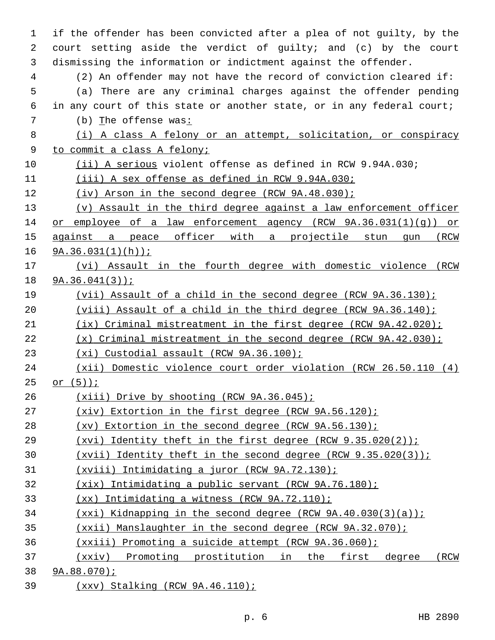| $\mathbf{1}$ | if the offender has been convicted after a plea of not guilty, by the    |
|--------------|--------------------------------------------------------------------------|
| 2            | court setting aside the verdict of guilty; and (c) by the court          |
| 3            | dismissing the information or indictment against the offender.           |
| 4            | (2) An offender may not have the record of conviction cleared if:        |
| 5            | (a) There are any criminal charges against the offender pending          |
| 6            | in any court of this state or another state, or in any federal court;    |
| 7            | (b) The offense was:                                                     |
| 8            | (i) A class A felony or an attempt, solicitation, or conspiracy          |
| 9            | to commit a class A felony;                                              |
| 10           | (ii) A serious violent offense as defined in RCW 9.94A.030;              |
| 11           | (iii) A sex offense as defined in RCW 9.94A.030;                         |
| 12           | $(iv)$ Arson in the second degree (RCW 9A.48.030);                       |
| 13           | (v) Assault in the third degree against a law enforcement officer        |
| 14           | employee of a law enforcement agency (RCW $9A.36.031(1)(q)$ ) or<br>or   |
| 15           | against a peace officer with a projectile stun gun<br>(RCW               |
| 16           | $9A.36.031(1)(h)$ ;                                                      |
| 17           | (vi) Assault in the fourth degree with domestic violence (RCW            |
| 18           | $9A.36.041(3)$ ;                                                         |
| 19           | (vii) Assault of a child in the second degree (RCW 9A.36.130);           |
| 20           | (viii) Assault of a child in the third degree (RCW $9A.36.140$ );        |
| 21           | $(ix)$ Criminal mistreatment in the first degree (RCW 9A.42.020);        |
| 22           | $(x)$ Criminal mistreatment in the second degree (RCW 9A.42.030);        |
| 23           | (xi) Custodial assault (RCW 9A.36.100);                                  |
| 24           | (xii) Domestic violence court order violation (RCW 26.50.110 (4)         |
| 25           | or $(5)$ );                                                              |
| 26           | $(xiii)$ Drive by shooting (RCW 9A.36.045);                              |
| 27           | $(xiv)$ Extortion in the first degree (RCW $9A.56.120$ );                |
| 28           | $(xv)$ Extortion in the second degree (RCW $9A.56.130$ );                |
| 29           | (xvi) Identity theft in the first degree (RCW $9.35.020(2)$ );           |
| 30           | (xvii) Identity theft in the second degree (RCW $9.35.020(3)$ );         |
| 31           | (xviii) Intimidating a juror (RCW 9A.72.130);                            |
| 32           | $(xix)$ Intimidating a public servant (RCW 9A.76.180);                   |
| 33           | Intimidating a witness (RCW 9A.72.110);<br>(xx)                          |
| 34           | $(xxi)$ Kidnapping in the second degree (RCW 9A.40.030(3)(a));           |
| 35           | $(xxii)$ Manslaughter in the second degree (RCW 9A.32.070);              |
| 36           | (xxiii) Promoting a suicide attempt (RCW 9A.36.060);                     |
| 37           | (xxiv)<br>Promoting prostitution<br>in<br>the<br>first<br>degree<br>(RCW |
| 38           | $9A.88.070$ ;                                                            |

39 (xxv) Stalking (RCW 9A.46.110);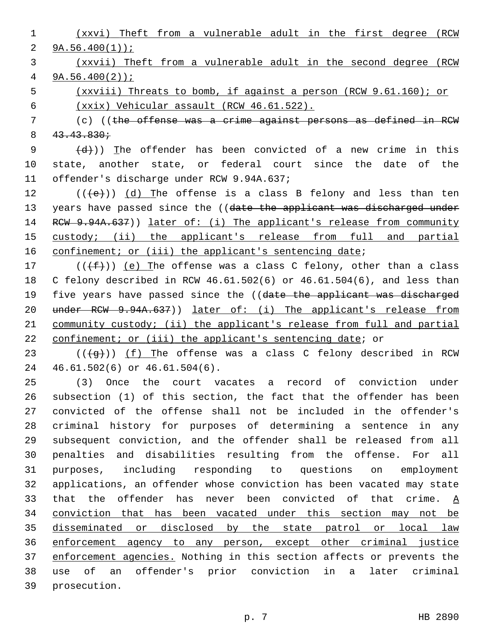(xxvi) Theft from a vulnerable adult in the first degree (RCW  $9A.56.400(1)$ ; (xxvii) Theft from a vulnerable adult in the second degree (RCW 9A.56.400(2)); (xxviii) Threats to bomb, if against a person (RCW 9.61.160); or (xxix) Vehicular assault (RCW 46.61.522). (c) ((the offense was a crime against persons as defined in RCW  $8 \quad 43.43.830 \div$  $(d)$ )) The offender has been convicted of a new crime in this state, another state, or federal court since the date of the 11 offender's discharge under RCW 9.94A.637;  $((+e))$  (d) The offense is a class B felony and less than ten 13 years have passed since the ((date the applicant was discharged under 14 RCW 9.94A.637)) later of: (i) The applicant's release from community custody; (ii) the applicant's release from full and partial 16 confinement; or (iii) the applicant's sentencing date; 17 ( $(\{\pm\})$ ) (e) The offense was a class C felony, other than a class C felony described in RCW 46.61.502(6) or 46.61.504(6), and less than 19 five years have passed since the ((date the applicant was discharged 20 under RCW 9.94A.637)) later of: (i) The applicant's release from community custody; (ii) the applicant's release from full and partial 22 confinement; or (iii) the applicant's sentencing date; or ( $(\frac{49}{9})$ ) (f) The offense was a class C felony described in RCW 24 46.61.502(6) or 46.61.504(6). (3) Once the court vacates a record of conviction under subsection (1) of this section, the fact that the offender has been convicted of the offense shall not be included in the offender's

 criminal history for purposes of determining a sentence in any subsequent conviction, and the offender shall be released from all penalties and disabilities resulting from the offense. For all purposes, including responding to questions on employment applications, an offender whose conviction has been vacated may state that the offender has never been convicted of that crime. A conviction that has been vacated under this section may not be disseminated or disclosed by the state patrol or local law enforcement agency to any person, except other criminal justice enforcement agencies. Nothing in this section affects or prevents the use of an offender's prior conviction in a later criminal 39 prosecution.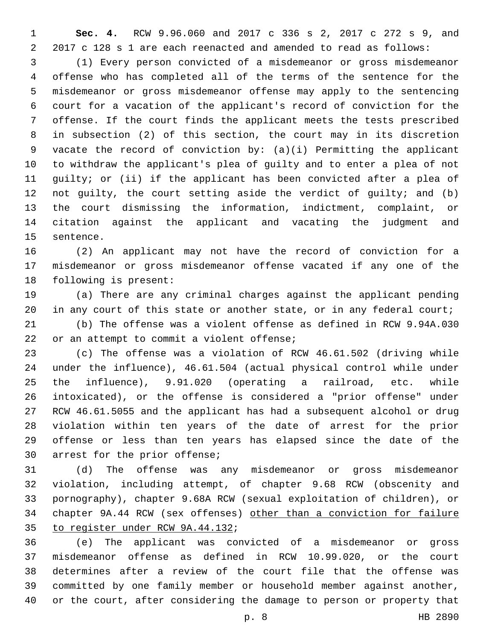**Sec. 4.** RCW 9.96.060 and 2017 c 336 s 2, 2017 c 272 s 9, and 2017 c 128 s 1 are each reenacted and amended to read as follows:

 (1) Every person convicted of a misdemeanor or gross misdemeanor offense who has completed all of the terms of the sentence for the misdemeanor or gross misdemeanor offense may apply to the sentencing court for a vacation of the applicant's record of conviction for the offense. If the court finds the applicant meets the tests prescribed in subsection (2) of this section, the court may in its discretion vacate the record of conviction by: (a)(i) Permitting the applicant to withdraw the applicant's plea of guilty and to enter a plea of not guilty; or (ii) if the applicant has been convicted after a plea of not guilty, the court setting aside the verdict of guilty; and (b) the court dismissing the information, indictment, complaint, or citation against the applicant and vacating the judgment and 15 sentence.

 (2) An applicant may not have the record of conviction for a misdemeanor or gross misdemeanor offense vacated if any one of the 18 following is present:

 (a) There are any criminal charges against the applicant pending 20 in any court of this state or another state, or in any federal court;

 (b) The offense was a violent offense as defined in RCW 9.94A.030 22 or an attempt to commit a violent offense;

 (c) The offense was a violation of RCW 46.61.502 (driving while under the influence), 46.61.504 (actual physical control while under the influence), 9.91.020 (operating a railroad, etc. while intoxicated), or the offense is considered a "prior offense" under RCW 46.61.5055 and the applicant has had a subsequent alcohol or drug violation within ten years of the date of arrest for the prior offense or less than ten years has elapsed since the date of the 30 arrest for the prior offense;

 (d) The offense was any misdemeanor or gross misdemeanor violation, including attempt, of chapter 9.68 RCW (obscenity and pornography), chapter 9.68A RCW (sexual exploitation of children), or chapter 9A.44 RCW (sex offenses) other than a conviction for failure 35 to register under RCW 9A.44.132;

 (e) The applicant was convicted of a misdemeanor or gross misdemeanor offense as defined in RCW 10.99.020, or the court determines after a review of the court file that the offense was committed by one family member or household member against another, or the court, after considering the damage to person or property that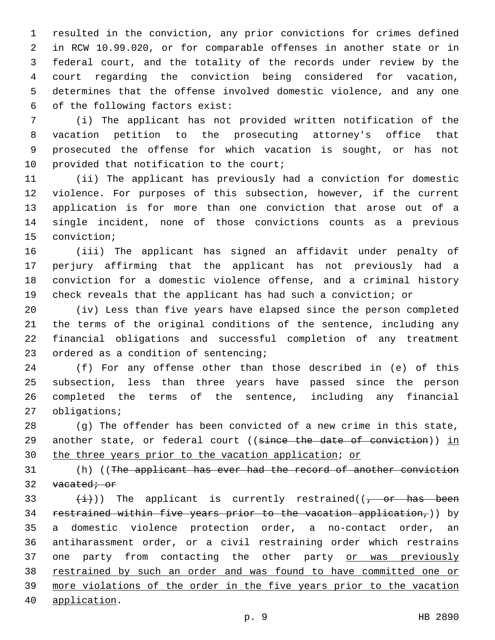resulted in the conviction, any prior convictions for crimes defined in RCW 10.99.020, or for comparable offenses in another state or in federal court, and the totality of the records under review by the court regarding the conviction being considered for vacation, determines that the offense involved domestic violence, and any one of the following factors exist:6

 (i) The applicant has not provided written notification of the vacation petition to the prosecuting attorney's office that prosecuted the offense for which vacation is sought, or has not 10 provided that notification to the court;

 (ii) The applicant has previously had a conviction for domestic violence. For purposes of this subsection, however, if the current application is for more than one conviction that arose out of a single incident, none of those convictions counts as a previous 15 conviction;

 (iii) The applicant has signed an affidavit under penalty of perjury affirming that the applicant has not previously had a conviction for a domestic violence offense, and a criminal history check reveals that the applicant has had such a conviction; or

 (iv) Less than five years have elapsed since the person completed the terms of the original conditions of the sentence, including any financial obligations and successful completion of any treatment 23 ordered as a condition of sentencing;

 (f) For any offense other than those described in (e) of this subsection, less than three years have passed since the person completed the terms of the sentence, including any financial 27 obligations;

 (g) The offender has been convicted of a new crime in this state, 29 another state, or federal court ((since the date of conviction)) in 30 the three years prior to the vacation application; or

 (h) ((The applicant has ever had the record of another conviction 32 vacated; or

 $(i)$ ) The applicant is currently restrained((, or has been restrained within five years prior to the vacation application,)) by a domestic violence protection order, a no-contact order, an antiharassment order, or a civil restraining order which restrains 37 one party from contacting the other party or was previously restrained by such an order and was found to have committed one or more violations of the order in the five years prior to the vacation 40 application.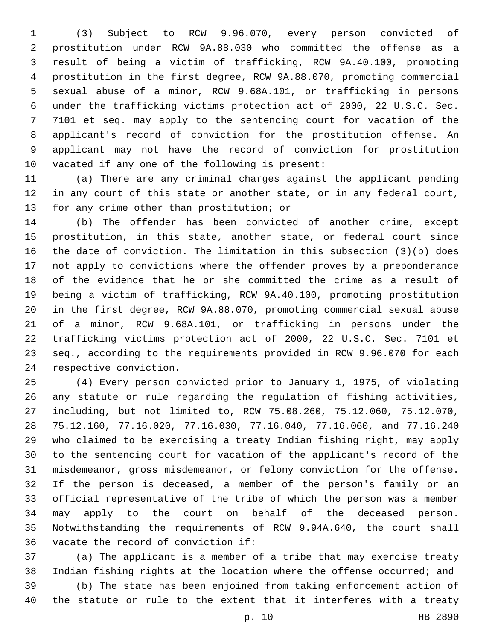(3) Subject to RCW 9.96.070, every person convicted of prostitution under RCW 9A.88.030 who committed the offense as a result of being a victim of trafficking, RCW 9A.40.100, promoting prostitution in the first degree, RCW 9A.88.070, promoting commercial sexual abuse of a minor, RCW 9.68A.101, or trafficking in persons under the trafficking victims protection act of 2000, 22 U.S.C. Sec. 7101 et seq. may apply to the sentencing court for vacation of the applicant's record of conviction for the prostitution offense. An applicant may not have the record of conviction for prostitution 10 vacated if any one of the following is present:

 (a) There are any criminal charges against the applicant pending in any court of this state or another state, or in any federal court, 13 for any crime other than prostitution; or

 (b) The offender has been convicted of another crime, except prostitution, in this state, another state, or federal court since the date of conviction. The limitation in this subsection (3)(b) does not apply to convictions where the offender proves by a preponderance of the evidence that he or she committed the crime as a result of being a victim of trafficking, RCW 9A.40.100, promoting prostitution in the first degree, RCW 9A.88.070, promoting commercial sexual abuse of a minor, RCW 9.68A.101, or trafficking in persons under the trafficking victims protection act of 2000, 22 U.S.C. Sec. 7101 et seq., according to the requirements provided in RCW 9.96.070 for each 24 respective conviction.

 (4) Every person convicted prior to January 1, 1975, of violating any statute or rule regarding the regulation of fishing activities, including, but not limited to, RCW 75.08.260, 75.12.060, 75.12.070, 75.12.160, 77.16.020, 77.16.030, 77.16.040, 77.16.060, and 77.16.240 who claimed to be exercising a treaty Indian fishing right, may apply to the sentencing court for vacation of the applicant's record of the misdemeanor, gross misdemeanor, or felony conviction for the offense. If the person is deceased, a member of the person's family or an official representative of the tribe of which the person was a member may apply to the court on behalf of the deceased person. Notwithstanding the requirements of RCW 9.94A.640, the court shall 36 vacate the record of conviction if:

 (a) The applicant is a member of a tribe that may exercise treaty Indian fishing rights at the location where the offense occurred; and

 (b) The state has been enjoined from taking enforcement action of the statute or rule to the extent that it interferes with a treaty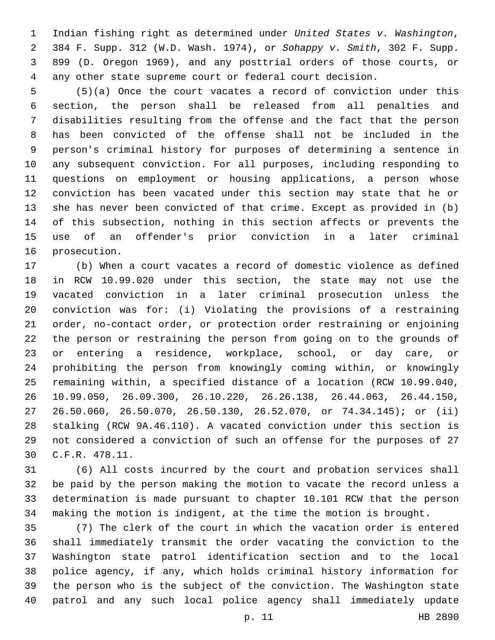Indian fishing right as determined under *United States v. Washington*, 384 F. Supp. 312 (W.D. Wash. 1974), or *Sohappy v. Smith*, 302 F. Supp. 899 (D. Oregon 1969), and any posttrial orders of those courts, or any other state supreme court or federal court decision.

 (5)(a) Once the court vacates a record of conviction under this section, the person shall be released from all penalties and disabilities resulting from the offense and the fact that the person has been convicted of the offense shall not be included in the person's criminal history for purposes of determining a sentence in any subsequent conviction. For all purposes, including responding to questions on employment or housing applications, a person whose conviction has been vacated under this section may state that he or she has never been convicted of that crime. Except as provided in (b) of this subsection, nothing in this section affects or prevents the use of an offender's prior conviction in a later criminal 16 prosecution.

 (b) When a court vacates a record of domestic violence as defined in RCW 10.99.020 under this section, the state may not use the vacated conviction in a later criminal prosecution unless the conviction was for: (i) Violating the provisions of a restraining order, no-contact order, or protection order restraining or enjoining the person or restraining the person from going on to the grounds of or entering a residence, workplace, school, or day care, or prohibiting the person from knowingly coming within, or knowingly remaining within, a specified distance of a location (RCW 10.99.040, 10.99.050, 26.09.300, 26.10.220, 26.26.138, 26.44.063, 26.44.150, 26.50.060, 26.50.070, 26.50.130, 26.52.070, or 74.34.145); or (ii) stalking (RCW 9A.46.110). A vacated conviction under this section is not considered a conviction of such an offense for the purposes of 27 C.F.R. 478.11.30

 (6) All costs incurred by the court and probation services shall be paid by the person making the motion to vacate the record unless a determination is made pursuant to chapter 10.101 RCW that the person making the motion is indigent, at the time the motion is brought.

 (7) The clerk of the court in which the vacation order is entered shall immediately transmit the order vacating the conviction to the Washington state patrol identification section and to the local police agency, if any, which holds criminal history information for the person who is the subject of the conviction. The Washington state patrol and any such local police agency shall immediately update